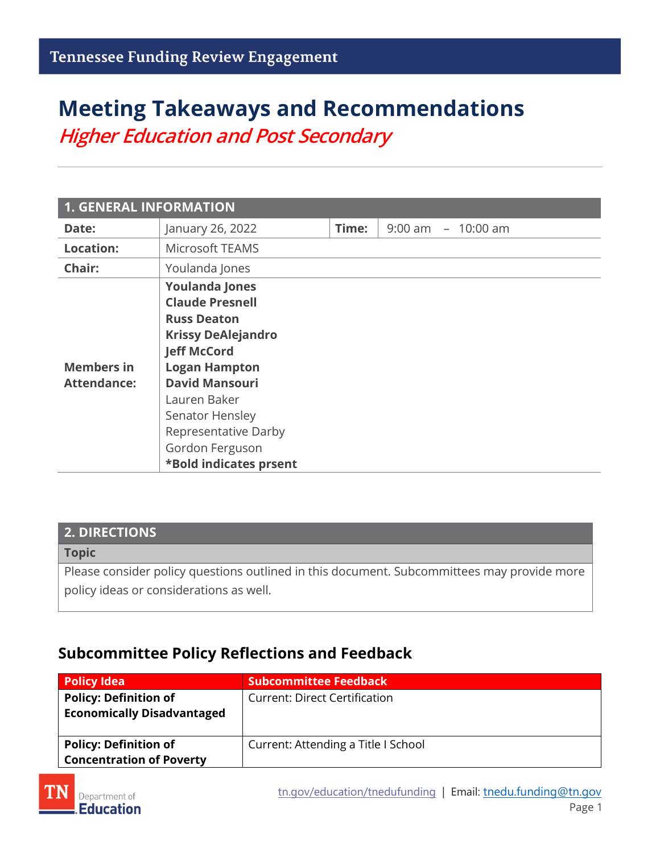# **Meeting Takeaways and Recommendations** *Higher Education and Post Secondary*

| <b>1. GENERAL INFORMATION</b>           |                                                                                                                                                                                                                                                                                   |       |                       |  |
|-----------------------------------------|-----------------------------------------------------------------------------------------------------------------------------------------------------------------------------------------------------------------------------------------------------------------------------------|-------|-----------------------|--|
| Date:                                   | January 26, 2022                                                                                                                                                                                                                                                                  | Time: | $9:00$ am $-10:00$ am |  |
| <b>Location:</b>                        | Microsoft TEAMS                                                                                                                                                                                                                                                                   |       |                       |  |
| Chair:                                  | Youlanda Jones                                                                                                                                                                                                                                                                    |       |                       |  |
| <b>Members in</b><br><b>Attendance:</b> | <b>Youlanda Jones</b><br><b>Claude Presnell</b><br><b>Russ Deaton</b><br><b>Krissy DeAlejandro</b><br><b>Jeff McCord</b><br><b>Logan Hampton</b><br><b>David Mansouri</b><br>Lauren Baker<br>Senator Hensley<br>Representative Darby<br>Gordon Ferguson<br>*Bold indicates prsent |       |                       |  |

### **2. DIRECTIONS**

#### **Topic**

Please consider policy questions outlined in this document. Subcommittees may provide more policy ideas or considerations as well.

### **Subcommittee Policy Reflections and Feedback**

| Policy Idea                                                       | <b>Subcommittee Feedback</b>         |
|-------------------------------------------------------------------|--------------------------------------|
| <b>Policy: Definition of</b><br><b>Economically Disadvantaged</b> | <b>Current: Direct Certification</b> |
| <b>Policy: Definition of</b><br><b>Concentration of Poverty</b>   | Current: Attending a Title I School  |

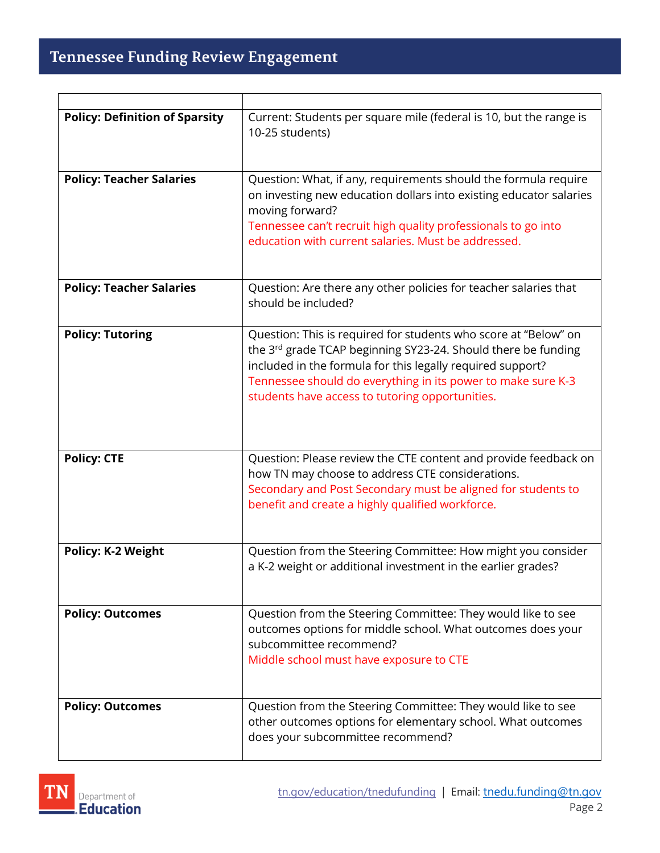r

| <b>Policy: Definition of Sparsity</b> | Current: Students per square mile (federal is 10, but the range is<br>10-25 students)                                                                                                                                                                                                                                         |
|---------------------------------------|-------------------------------------------------------------------------------------------------------------------------------------------------------------------------------------------------------------------------------------------------------------------------------------------------------------------------------|
| <b>Policy: Teacher Salaries</b>       | Question: What, if any, requirements should the formula require<br>on investing new education dollars into existing educator salaries<br>moving forward?<br>Tennessee can't recruit high quality professionals to go into<br>education with current salaries. Must be addressed.                                              |
| <b>Policy: Teacher Salaries</b>       | Question: Are there any other policies for teacher salaries that<br>should be included?                                                                                                                                                                                                                                       |
| <b>Policy: Tutoring</b>               | Question: This is required for students who score at "Below" on<br>the 3 <sup>rd</sup> grade TCAP beginning SY23-24. Should there be funding<br>included in the formula for this legally required support?<br>Tennessee should do everything in its power to make sure K-3<br>students have access to tutoring opportunities. |
| <b>Policy: CTE</b>                    | Question: Please review the CTE content and provide feedback on<br>how TN may choose to address CTE considerations.<br>Secondary and Post Secondary must be aligned for students to<br>benefit and create a highly qualified workforce.                                                                                       |
| <b>Policy: K-2 Weight</b>             | Question from the Steering Committee: How might you consider<br>a K-2 weight or additional investment in the earlier grades?                                                                                                                                                                                                  |
| <b>Policy: Outcomes</b>               | Question from the Steering Committee: They would like to see<br>outcomes options for middle school. What outcomes does your<br>subcommittee recommend?<br>Middle school must have exposure to CTE                                                                                                                             |
| <b>Policy: Outcomes</b>               | Question from the Steering Committee: They would like to see<br>other outcomes options for elementary school. What outcomes<br>does your subcommittee recommend?                                                                                                                                                              |

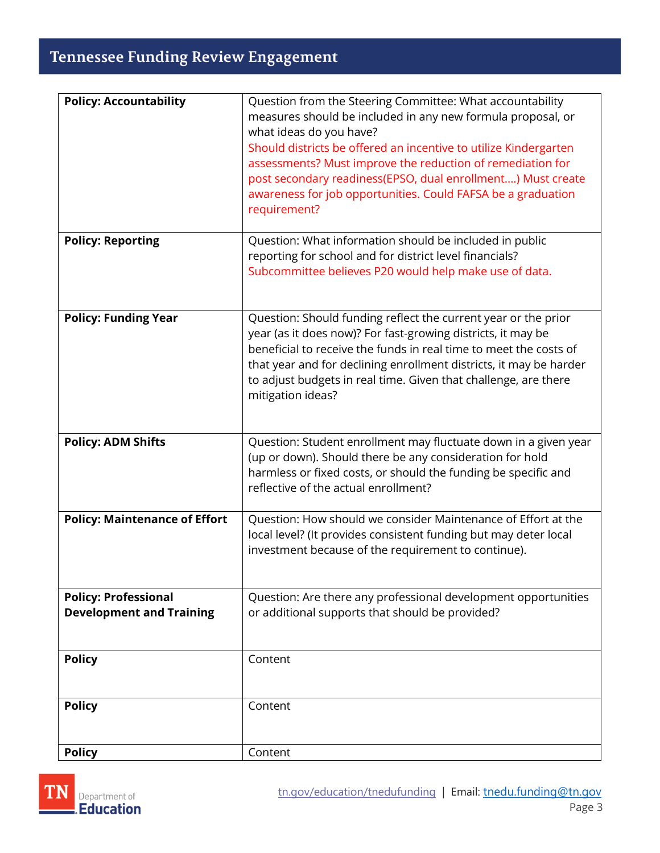## Tennessee Funding Review Engagement

| <b>Policy: Accountability</b>                                  | Question from the Steering Committee: What accountability<br>measures should be included in any new formula proposal, or<br>what ideas do you have?<br>Should districts be offered an incentive to utilize Kindergarten<br>assessments? Must improve the reduction of remediation for<br>post secondary readiness(EPSO, dual enrollment) Must create<br>awareness for job opportunities. Could FAFSA be a graduation<br>requirement? |
|----------------------------------------------------------------|--------------------------------------------------------------------------------------------------------------------------------------------------------------------------------------------------------------------------------------------------------------------------------------------------------------------------------------------------------------------------------------------------------------------------------------|
| <b>Policy: Reporting</b>                                       | Question: What information should be included in public<br>reporting for school and for district level financials?<br>Subcommittee believes P20 would help make use of data.                                                                                                                                                                                                                                                         |
| <b>Policy: Funding Year</b>                                    | Question: Should funding reflect the current year or the prior<br>year (as it does now)? For fast-growing districts, it may be<br>beneficial to receive the funds in real time to meet the costs of<br>that year and for declining enrollment districts, it may be harder<br>to adjust budgets in real time. Given that challenge, are there<br>mitigation ideas?                                                                    |
| <b>Policy: ADM Shifts</b>                                      | Question: Student enrollment may fluctuate down in a given year<br>(up or down). Should there be any consideration for hold<br>harmless or fixed costs, or should the funding be specific and<br>reflective of the actual enrollment?                                                                                                                                                                                                |
| <b>Policy: Maintenance of Effort</b>                           | Question: How should we consider Maintenance of Effort at the<br>local level? (It provides consistent funding but may deter local<br>investment because of the requirement to continue).                                                                                                                                                                                                                                             |
| <b>Policy: Professional</b><br><b>Development and Training</b> | Question: Are there any professional development opportunities<br>or additional supports that should be provided?                                                                                                                                                                                                                                                                                                                    |
| <b>Policy</b>                                                  | Content                                                                                                                                                                                                                                                                                                                                                                                                                              |
| <b>Policy</b>                                                  | Content                                                                                                                                                                                                                                                                                                                                                                                                                              |
| <b>Policy</b>                                                  | Content                                                                                                                                                                                                                                                                                                                                                                                                                              |